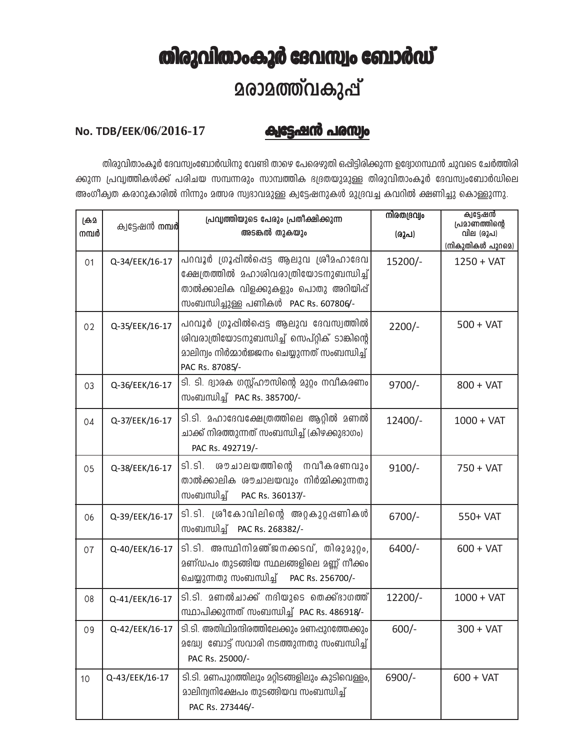## തിരുവിതാംകൂർ ദേവസ്വം ബോർഡ് **2രാ2ത്ത്വകുപ്പ്**

## ക്വട്ടേഷൻ പരസ്വം No. TDB/EEK/06/2016-17

തിരുവിതാംകൂർ ദേവസ്വംബോർഡിനു വേണ്ടി താഴെ പേരെഴുതി ഒപ്പിട്ടിരിക്കുന്ന ഉദ്യോഗസ്ഥൻ ചുവടെ ചേർത്തിരി ക്കുന്ന പ്രവൃത്തികൾക്ക് പരിചയ സമ്പന്നരും സാമ്പത്തിക ഭദ്രതയുമുള്ള തിരുവിതാംകൂർ ദേവസ്വംബോർഡിലെ അംഗീക്വത കരാറുകാരിൽ നിന്നും മത്സര സ്വഭാവമുള്ള ക്വട്ടേഷനുകൾ മുദ്രവച്ച കവറിൽ ക്ഷണിച്ചു കൊള്ളുന്നു.

| ക്രി<br>നമ്പർ | ക്വട്ടേഷൻ <b>നമ്പർ</b> | പ്രവ്യത്തിയുടെ പേരും പ്രതീക്ഷിക്കുന്ന<br>അടങ്കൽ തുകയും                                                                                                              | നിരതദ്രവ്വം<br>(രൂപ) | ക്വട്ടേഷൻ<br>പ്രമാണത്തിന്റെ<br>വില (രൂപ)<br>(നികുതികൾ പുറമെ) |
|---------------|------------------------|---------------------------------------------------------------------------------------------------------------------------------------------------------------------|----------------------|--------------------------------------------------------------|
| 01            | Q-34/EEK/16-17         | പറവൂർ ഗ്രൂപ്പിൽപ്പെട്ട ആലുവ ശ്രീമഹാദേവ<br>ക്ഷേത്രത്തിൽ മഹാശിവരാത്രിയോടനുബന്ധിച്ച്<br>താൽക്കാലിക വിളക്കുകളും പൊതു അറിയിപ്പ്<br>സംബന്ധിച്ചുള്ള പണികൾ PAC Rs. 607806/- | 15200/-              | $1250 + VAT$                                                 |
| 02            | Q-35/EEK/16-17         | പറവൂർ ഗ്രൂപ്പിൽപ്പെട്ട ആലുവ ദേവസ്വത്തിൽ<br>ശിവരാത്രിയോടനുബന്ധിച്ച് സെപ്റ്റിക് ടാങ്കിന്റെ<br>മാലിന്വം നിർമ്മാർജ്ജനം ചെയ്യുന്നത് സംബന്ധിച്ച്<br>PAC Rs. 87085/-       | $2200/-$             | $500 + VAT$                                                  |
| 03            | Q-36/EEK/16-17         | ടി. ടി. ദ്വാരക ഗസ്റ്റ്ഹൗസിന്റെ മുറ്റം നവീകരണം<br>സംബന്ധിച്ച് PAC Rs. 385700/-                                                                                       | $9700/-$             | $800 + VAT$                                                  |
| 04            | Q-37/EEK/16-17         | ടി.ടി. മഹാദേവക്ഷേത്രത്തിലെ ആറ്റിൽ മണൽ<br>ചാക്ക് നിരത്തുന്നത് സംബന്ധിച്ച് (കിഴക്കുദാഗം)<br>PAC Rs. 492719/-                                                          | 12400/-              | $1000 + VAT$                                                 |
| 05            | Q-38/EEK/16-17         | ശൗ ചാലയത്തിന്റെ<br>ร์โ.ร์โ.<br>നവീകരണവും<br>താൽക്കാലിക ശൗചാലയവും നിർമ്മിക്കുന്നതു<br>സംബന്ധിച്ച്<br>PAC Rs. 360137/-                                                | $9100/-$             | $750 + VAT$                                                  |
| 06            | Q-39/EEK/16-17         | ടി.ടി. ശ്രീകോവിലിന്റെ അറ്റകുറ്റപ്പണികൾ<br>സംബന്ധിച്ച് PAC Rs. 268382/-                                                                                              | $6700/-$             | 550+ VAT                                                     |
| 07            | Q-40/EEK/16-17         | ടി.ടി. അസ്ഥിനിമഞ്ജനക്കടവ്, തിരുമുറ്റം,<br>മണ്ഡപം തുടങ്ങിയ സ്ഥലങ്ങളിലെ മണ്ണ് നീക്കം<br>ചെയ്യുന്നതു സംബന്ധിച്ച് PAC Rs. 256700/-                                      | $6400/-$             | $600 + VAT$                                                  |
| 08            | Q-41/EEK/16-17         | ടി.ടി. മണൽചാക്ക് നദിയുടെ തെക്ക്ഭാഗത്ത്<br>സ്ഥാപിക്കുന്നത് സംബന്ധിച്ച് PAC Rs. 486918/-                                                                              | 12200/-              | $1000 + VAT$                                                 |
| 09            | Q-42/EEK/16-17         | ടി.ടി. അതിഥിമന്ദിരത്തിലേക്കും മണപ്പുറത്തേക്കും<br>മദ്ധ്വേ ബോട്ട് സവാരി നടത്തുന്നതു സംബന്ധിച്ച്<br>PAC Rs. 25000/-                                                   | $600/-$              | 300 + VAT                                                    |
| 10            | Q-43/EEK/16-17         | ടി.ടി. മണപുറത്തിലും മറ്റിടങ്ങളിലും കുടിവെള്ളം,<br>മാലിന്വനിക്ഷേപം തുടങ്ങിയവ സംബന്ധിച്ച്<br>PAC Rs. 273446/-                                                         | 6900/-               | $600 + VAT$                                                  |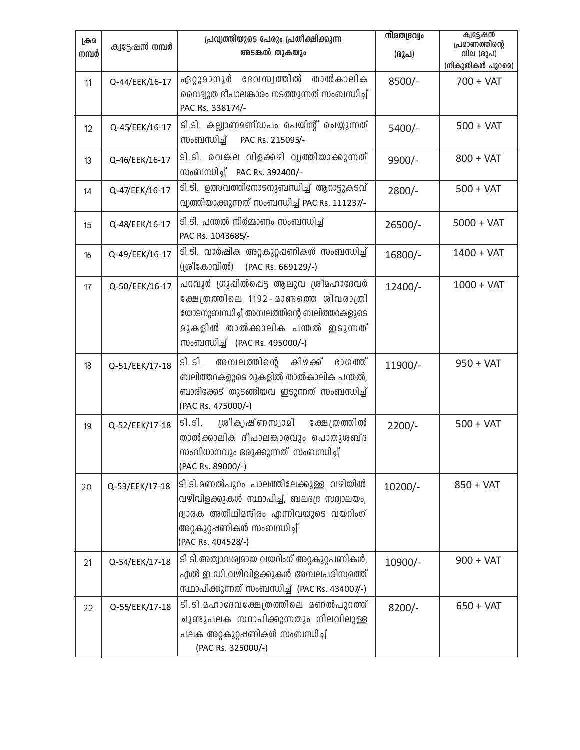| ക്രി<br>നമ്പർ | ക്വട്ടേഷൻ നമ്പർ | പ്രവൃത്തിയുടെ പേരും പ്രതീക്ഷിക്കുന്ന<br>അടങ്കൽ തുകയും                                                                                                                                                | നിരതദ്രവ്വം<br>(രൂപ) | ക്വട്ടേഷൻ<br>പ്രമാണത്തിന്റെ<br>വില (രൂപ)<br>(നികുതികൾ പുറമെ) |
|---------------|-----------------|------------------------------------------------------------------------------------------------------------------------------------------------------------------------------------------------------|----------------------|--------------------------------------------------------------|
| 11            | Q-44/EEK/16-17  | ഏറ്റുമാനൂർ<br>ദേവസ്വത്തിൽ<br>താൽകാലിക<br>വൈദ്യുത ദീപാലങ്കാരം നടത്തുന്നത് സംബന്ധിച്ച്<br>PAC Rs. 338174/-                                                                                             | 8500/-               | $700 + VAT$                                                  |
| 12            | Q-45/EEK/16-17  | ടി.ടി. കല്ല്യാണമണ്ഡപം പെയിന്റ് ചെയ്യുന്നത്<br>സംബന്ധിച്ച്<br>PAC Rs. 215095/-                                                                                                                        | 5400/-               | $500 + VAT$                                                  |
| 13            | Q-46/EEK/16-17  | ടി.ടി. വെങ്കല വിളക്കഴി വൃത്തിയാക്കുന്നത്<br>സംബന്ധിച്ച് PAC Rs. 392400/-                                                                                                                             | 9900/-               | $800 + VAT$                                                  |
| 14            | Q-47/EEK/16-17  | ടി.ടി. ഉത്സവത്തിനോടനുബന്ധിച്ച് ആറാട്ടുകടവ്<br>വ്വത്തിയാക്കുന്നത് സംബന്ധിച്ച് PAC Rs. 111237/-                                                                                                        | $2800/-$             | $500 + VAT$                                                  |
| 15            | Q-48/EEK/16-17  | ടി.ടി. പന്തൽ നിർമ്മാണം സംബന്ധിച്ച്<br>PAC Rs. 1043685/-                                                                                                                                              | 26500/-              | $5000 + VAT$                                                 |
| 16            | Q-49/EEK/16-17  | ടി.ടി. വാർഷിക അറ്റകുറ്റപ്പണികൾ സംബന്ധിച്ച്<br>(ശ്രീകോവിൽ)<br>(PAC Rs. 669129/-)                                                                                                                      | 16800/-              | $1400 + VAT$                                                 |
| 17            | Q-50/EEK/16-17  | പറവൂർ ഗ്രൂപ്പിൽപ്പെട്ട ആലുവ ശ്രീമഹാദേവർ<br>ക്ഷേത്രത്തിലെ 1192-മാണ്ടത്തെ ശിവരാത്രി<br>യോടനുബന്ധിച്ച് അമ്പലത്തിന്റെ ബലിത്തറകളുടെ<br>മുകളിൽ താൽക്കാലിക പന്തൽ ഇടുന്നത്<br>സംബന്ധിച്ച് (PAC Rs. 495000/-) | 12400/-              | $1000 + VAT$                                                 |
| 18            | Q-51/EEK/17-18  | ഭാഗത്ത്<br>รา.รา.<br>അമ്പലത്തിന്റെ കിഴക്ക്<br>ബലിത്തറകളുടെ മുകളിൽ താൽകാലിക പന്തൽ,<br>ബാരിക്കേട് തുടങ്ങിയവ ഇടുന്നത് സംബന്ധിച്ച്<br>(PAC Rs. 475000/-)                                                 | 11900/-              | $950 + VAT$                                                  |
| 19            | Q-52/EEK/17-18  | SI.S.<br>ശ്രീകൃഷ്ണസ്വാമി<br>ക്ഷേത്രത്തിൽ<br>താൽക്കാലിക ദീപാലങ്കാരവും പൊതുശബ്ദ<br>സംവിധാനവും ഒരുക്കുന്നത് സംബന്ധിച്ച്<br>(PAC Rs. 89000/-)                                                            | $2200/-$             | $500 + VAT$                                                  |
| 20            | Q-53/EEK/17-18  | ടി.ടി.മണൽപുറം പാലത്തിലേക്കുള്ള വഴിയിൽ<br>വഴിവിളക്കുകൾ സ്ഥാപിച്ച്, ബലഭദ്ര സദ്വാലയം,<br>ദ്വാരക അതിഥിമന്ദിരം എന്നിവയുടെ വയറിംഗ്<br>അറ്റകുറ്റഷണികൾ സംബന്ധിച്ച്<br>(PAC Rs. 404528/-)                     | 10200/-              | $850 + VAT$                                                  |
| 21            | Q-54/EEK/17-18  | ടി.ടി.അത്വാവര്വമായ വയറിംഗ് അറ്റകുറ്റപണികൾ,<br>എൽ.ഇ.ഡി.വഴിവിളക്കുകൾ അമ്പലപരിസരത്ത്<br>സ്ഥാപിക്കുന്നത് സംബന്ധിച്ച് (PAC Rs. 434007/-)                                                                  | 10900/-              | $900 + VAT$                                                  |
| 22            | Q-55/EEK/17-18  | ടി.ടി.മഹാദേവക്ഷേത്രത്തിലെ മണൽപുറത്ത്<br>ചൂണ്ടുപലക സ്ഥാപിക്കുന്നതും നിലവിലുള്ള<br>പലക അറ്റകുറ്റഷണികൾ സംബന്ധിച്ച്<br>(PAC Rs. 325000/-)                                                                | $8200/-$             | $650 + VAT$                                                  |